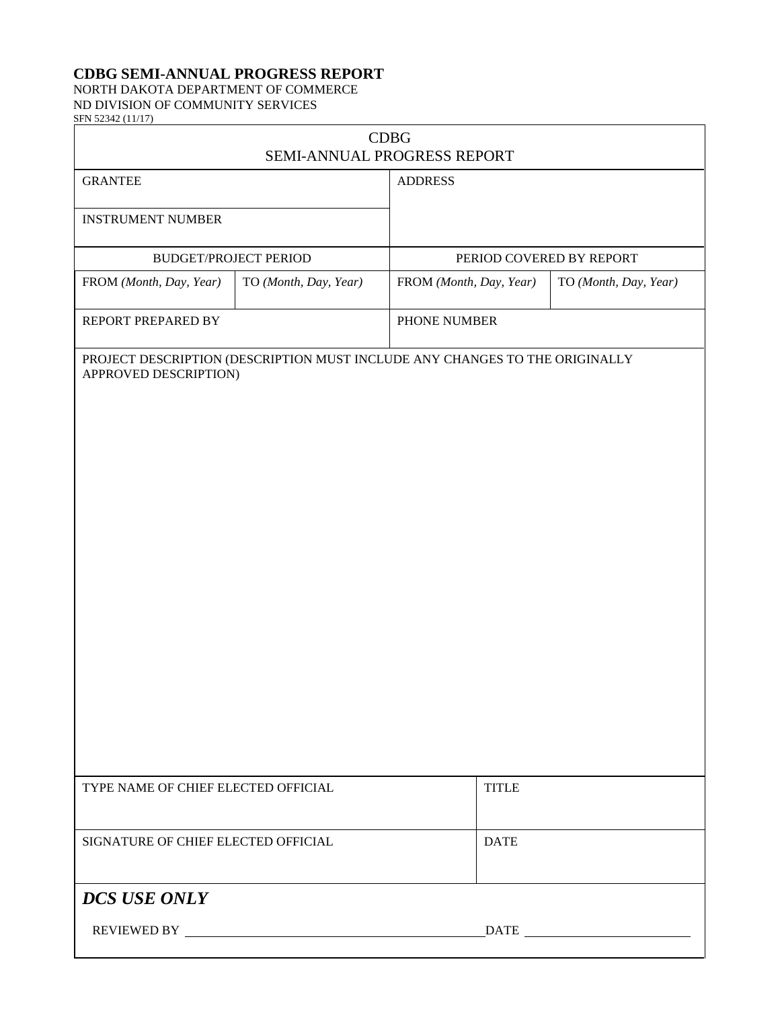## **CDBG SEMI-ANNUAL PROGRESS REPORT**

## NORTH DAKOTA DEPARTMENT OF COMMERCE ND DIVISION OF COMMUNITY SERVICES

SFN 52342 (11/17)

| <b>CDBG</b><br>SEMI-ANNUAL PROGRESS REPORT |                       |                                                                             |                       |  |
|--------------------------------------------|-----------------------|-----------------------------------------------------------------------------|-----------------------|--|
| <b>GRANTEE</b>                             |                       | <b>ADDRESS</b>                                                              |                       |  |
| <b>INSTRUMENT NUMBER</b>                   |                       |                                                                             |                       |  |
| <b>BUDGET/PROJECT PERIOD</b>               |                       | PERIOD COVERED BY REPORT                                                    |                       |  |
| FROM (Month, Day, Year)                    | TO (Month, Day, Year) | FROM (Month, Day, Year)                                                     | TO (Month, Day, Year) |  |
| REPORT PREPARED BY                         |                       | PHONE NUMBER                                                                |                       |  |
| APPROVED DESCRIPTION)                      |                       | PROJECT DESCRIPTION (DESCRIPTION MUST INCLUDE ANY CHANGES TO THE ORIGINALLY |                       |  |
| TYPE NAME OF CHIEF ELECTED OFFICIAL        |                       | <b>TITLE</b>                                                                |                       |  |
| SIGNATURE OF CHIEF ELECTED OFFICIAL        |                       | <b>DATE</b>                                                                 |                       |  |
| <b>DCS USE ONLY</b>                        |                       |                                                                             |                       |  |
|                                            |                       |                                                                             |                       |  |